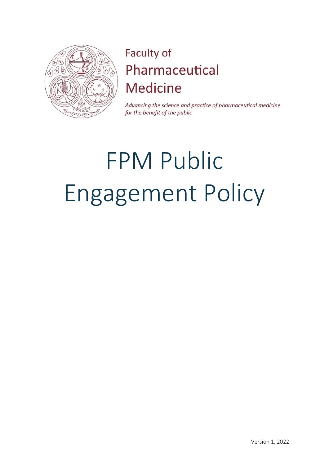

## Faculty of Pharmaceutical **Medicine**

Advancing the science and practice of pharmaceutical medicine for the benefit of the public

# FPM Public Engagement Policy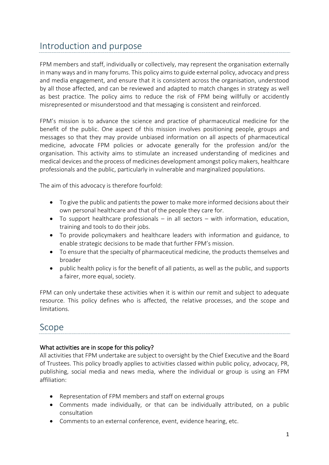## Introduction and purpose

FPM members and staff, individually or collectively, may represent the organisation externally in many ways and in many forums. This policy aims to guide external policy, advocacy and press and media engagement, and ensure that it is consistent across the organisation, understood by all those affected, and can be reviewed and adapted to match changes in strategy as well as best practice. The policy aims to reduce the risk of FPM being willfully or accidently misrepresented or misunderstood and that messaging is consistent and reinforced.

FPM's mission is to advance the science and practice of pharmaceutical medicine for the benefit of the public. One aspect of this mission involves positioning people, groups and messages so that they may provide unbiased information on all aspects of pharmaceutical medicine, advocate FPM policies or advocate generally for the profession and/or the organisation. This activity aims to stimulate an increased understanding of medicines and medical devices and the process of medicines development amongst policy makers, healthcare professionals and the public, particularly in vulnerable and marginalized populations.

The aim of this advocacy is therefore fourfold:

- To give the public and patients the power to make more informed decisions about their own personal healthcare and that of the people they care for.
- To support healthcare professionals in all sectors with information, education, training and tools to do their jobs.
- To provide policymakers and healthcare leaders with information and guidance, to enable strategic decisions to be made that further FPM's mission.
- To ensure that the specialty of pharmaceutical medicine, the products themselves and broader
- public health policy is for the benefit of all patients, as well as the public, and supports a fairer, more equal, society.

FPM can only undertake these activities when it is within our remit and subject to adequate resource. This policy defines who is affected, the relative processes, and the scope and limitations.

## Scope

#### What activities are in scope for this policy?

All activities that FPM undertake are subject to oversight by the Chief Executive and the Board of Trustees. This policy broadly applies to activities classed within public policy, advocacy, PR, publishing, social media and news media, where the individual or group is using an FPM affiliation:

- Representation of FPM members and staff on external groups
- Comments made individually, or that can be individually attributed, on a public consultation
- Comments to an external conference, event, evidence hearing, etc.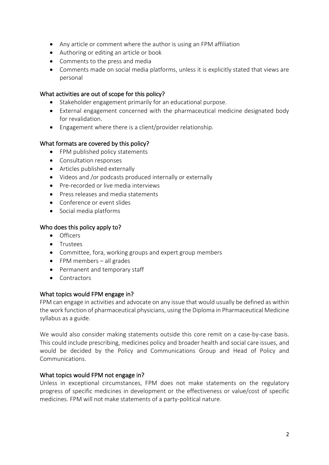- Any article or comment where the author is using an FPM affiliation
- Authoring or editing an article or book
- Comments to the press and media
- Comments made on social media platforms, unless it is explicitly stated that views are personal

#### What activities are out of scope for this policy?

- Stakeholder engagement primarily for an educational purpose.
- External engagement concerned with the pharmaceutical medicine designated body for revalidation.
- Engagement where there is a client/provider relationship.

#### What formats are covered by this policy?

- FPM published policy statements
- Consultation responses
- Articles published externally
- Videos and /or podcasts produced internally or externally
- Pre-recorded or live media interviews
- Press releases and media statements
- Conference or event slides
- Social media platforms

#### Who does this policy apply to?

- Officers
- Trustees
- Committee, fora, working groups and expert group members
- FPM members all grades
- Permanent and temporary staff
- Contractors

#### What topics would FPM engage in?

FPM can engage in activities and advocate on any issue that would usually be defined as within the work function of pharmaceutical physicians, using the Diploma in Pharmaceutical Medicine syllabus as a guide.

We would also consider making statements outside this core remit on a case-by-case basis. This could include prescribing, medicines policy and broader health and social care issues, and would be decided by the Policy and Communications Group and Head of Policy and Communications.

#### What topics would FPM not engage in?

Unless in exceptional circumstances, FPM does not make statements on the regulatory progress of specific medicines in development or the effectiveness or value/cost of specific medicines. FPM will not make statements of a party-political nature.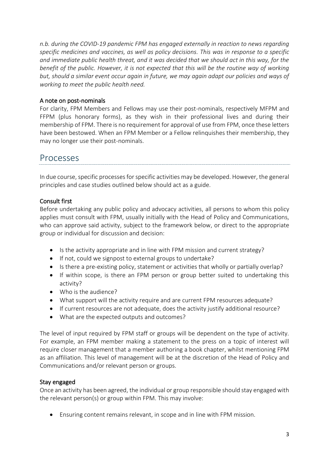*n.b. during the COVID-19 pandemic FPM has engaged externally in reaction to news regarding specific medicines and vaccines, as well as policy decisions. This was in response to a specific and immediate public health threat, and it was decided that we should act in this way, for the benefit of the public. However, it is not expected that this will be the routine way of working but, should a similar event occur again in future, we may again adapt our policies and ways of working to meet the public health need.* 

#### A note on post-nominals

For clarity, FPM Members and Fellows may use their post-nominals, respectively MFPM and FFPM (plus honorary forms), as they wish in their professional lives and during their membership of FPM. There is no requirement for approval of use from FPM, once these letters have been bestowed. When an FPM Member or a Fellow relinquishes their membership, they may no longer use their post-nominals.

## Processes

In due course, specific processes for specific activities may be developed. However, the general principles and case studies outlined below should act as a guide.

#### Consult first

Before undertaking any public policy and advocacy activities, all persons to whom this policy applies must consult with FPM, usually initially with the Head of Policy and Communications, who can approve said activity, subject to the framework below, or direct to the appropriate group or individual for discussion and decision:

- Is the activity appropriate and in line with FPM mission and current strategy?
- If not, could we signpost to external groups to undertake?
- Is there a pre-existing policy, statement or activities that wholly or partially overlap?
- If within scope, is there an FPM person or group better suited to undertaking this activity?
- Who is the audience?
- What support will the activity require and are current FPM resources adequate?
- If current resources are not adequate, does the activity justify additional resource?
- What are the expected outputs and outcomes?

The level of input required by FPM staff or groups will be dependent on the type of activity. For example, an FPM member making a statement to the press on a topic of interest will require closer management that a member authoring a book chapter, whilst mentioning FPM as an affiliation. This level of management will be at the discretion of the Head of Policy and Communications and/or relevant person or groups.

#### Stay engaged

Once an activity has been agreed, the individual or group responsible should stay engaged with the relevant person(s) or group within FPM. This may involve:

• Ensuring content remains relevant, in scope and in line with FPM mission.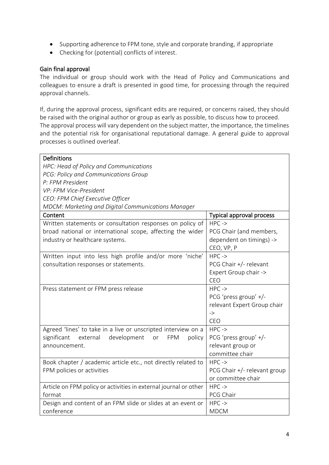- Supporting adherence to FPM tone, style and corporate branding, if appropriate
- Checking for (potential) conflicts of interest.

#### Gain final approval

The individual or group should work with the Head of Policy and Communications and colleagues to ensure a draft is presented in good time, for processing through the required approval channels.

If, during the approval process, significant edits are required, or concerns raised, they should be raised with the original author or group as early as possible, to discuss how to proceed. The approval process will vary dependent on the subject matter, the importance, the timelines and the potential risk for organisational reputational damage. A general guide to approval processes is outlined overleaf.

| Definitions                                                          |                                 |  |  |  |
|----------------------------------------------------------------------|---------------------------------|--|--|--|
|                                                                      |                                 |  |  |  |
| HPC: Head of Policy and Communications                               |                                 |  |  |  |
| PCG: Policy and Communications Group                                 |                                 |  |  |  |
| P: FPM President                                                     |                                 |  |  |  |
| VP: FPM Vice-President                                               |                                 |  |  |  |
| CEO: FPM Chief Executive Officer                                     |                                 |  |  |  |
| MDCM: Marketing and Digital Communications Manager                   |                                 |  |  |  |
| Content                                                              | <b>Typical approval process</b> |  |  |  |
| Written statements or consultation responses on policy of            | $HPC \rightarrow$               |  |  |  |
| broad national or international scope, affecting the wider           | PCG Chair (and members,         |  |  |  |
| industry or healthcare systems.                                      | dependent on timings) ->        |  |  |  |
|                                                                      | CEO, VP, P                      |  |  |  |
| Written input into less high profile and/or more 'niche'             | $HPC \rightarrow$               |  |  |  |
| consultation responses or statements.                                | PCG Chair +/- relevant          |  |  |  |
|                                                                      | Expert Group chair ->           |  |  |  |
|                                                                      | CEO                             |  |  |  |
| Press statement or FPM press release                                 | $HPC \rightarrow$               |  |  |  |
|                                                                      | PCG 'press group' +/-           |  |  |  |
|                                                                      | relevant Expert Group chair     |  |  |  |
|                                                                      | $\rightarrow$                   |  |  |  |
|                                                                      | CEO                             |  |  |  |
| Agreed 'lines' to take in a live or unscripted interview on a        | $HPC \rightarrow$               |  |  |  |
| significant<br>external<br>development<br><b>FPM</b><br>policy<br>or | PCG 'press group' +/-           |  |  |  |
| announcement.                                                        | relevant group or               |  |  |  |
|                                                                      | committee chair                 |  |  |  |
| Book chapter / academic article etc., not directly related to        | $HPC \rightarrow$               |  |  |  |
| FPM policies or activities                                           | PCG Chair +/- relevant group    |  |  |  |
|                                                                      | or committee chair              |  |  |  |
| Article on FPM policy or activities in external journal or other     | $HPC \rightarrow$               |  |  |  |
| format                                                               | PCG Chair                       |  |  |  |
| Design and content of an FPM slide or slides at an event or          | $HPC \rightarrow$               |  |  |  |
| conference                                                           | <b>MDCM</b>                     |  |  |  |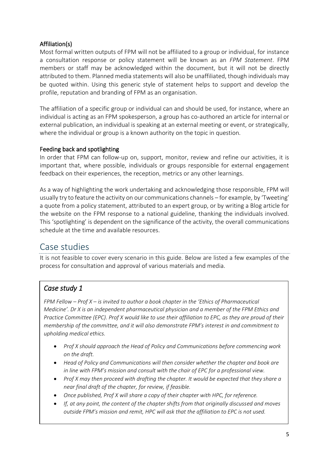#### Affiliation(s)

Most formal written outputs of FPM will not be affiliated to a group or individual, for instance a consultation response or policy statement will be known as an *FPM Statement*. FPM members or staff may be acknowledged within the document, but it will not be directly attributed to them. Planned media statements will also be unaffiliated, though individuals may be quoted within. Using this generic style of statement helps to support and develop the profile, reputation and branding of FPM as an organisation.

The affiliation of a specific group or individual can and should be used, for instance, where an individual is acting as an FPM spokesperson, a group has co-authored an article for internal or external publication, an individual is speaking at an external meeting or event, or strategically, where the individual or group is a known authority on the topic in question.

#### Feeding back and spotlighting

In order that FPM can follow-up on, support, monitor, review and refine our activities, it is important that, where possible, individuals or groups responsible for external engagement feedback on their experiences, the reception, metrics or any other learnings.

As a way of highlighting the work undertaking and acknowledging those responsible, FPM will usually try to feature the activity on our communications channels – for example, by 'Tweeting' a quote from a policy statement, attributed to an expert group, or by writing a Blog article for the website on the FPM response to a national guideline, thanking the individuals involved. This 'spotlighting' is dependent on the significance of the activity, the overall communications schedule at the time and available resources.

## Case studies

It is not feasible to cover every scenario in this guide. Below are listed a few examples of the process for consultation and approval of various materials and media.

## *Case study 1*

*FPM Fellow – Prof X – is invited to author a book chapter in the 'Ethics of Pharmaceutical Medicine'. Dr X is an independent pharmaceutical physician and a member of the FPM Ethics and Practice Committee (EPC). Prof X would like to use their affiliation to EPC, as they are proud of their membership of the committee, and it will also demonstrate FPM's interest in and commitment to upholding medical ethics.*

- *Prof X should approach the Head of Policy and Communications before commencing work on the draft.*
- *Head of Policy and Communications will then consider whether the chapter and book are in line with FPM's mission and consult with the chair of EPC for a professional view.*
- *Prof X may then proceed with drafting the chapter. It would be expected that they share a near final draft of the chapter, for review, if feasible.*
- *Once published, Prof X will share a copy of their chapter with HPC, for reference.*
- *If, at any point, the content of the chapter shifts from that originally discussed and moves outside FPM's mission and remit, HPC will ask that the affiliation to EPC is not used.*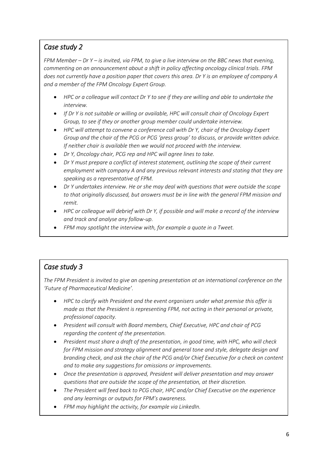## *Case study 2*

*FPM Member – Dr Y – is invited, via FPM, to give a live interview on the BBC news that evening, commenting on an announcement about a shift in policy affecting oncology clinical trials. FPM does not currently have a position paper that covers this area. Dr Y is an employee of company A and a member of the FPM Oncology Expert Group.*

- *HPC or a colleague will contact Dr Y to see if they are willing and able to undertake the interview.*
- *If Dr Y is not suitable or willing or available, HPC will consult chair of Oncology Expert Group, to see if they or another group member could undertake interview.*
- *HPC will attempt to convene a conference call with Dr Y, chair of the Oncology Expert Group and the chair of the PCG or PCG 'press group' to discuss, or provide written advice. If neither chair is available then we would not proceed with the interview.*
- *Dr Y, Oncology chair, PCG rep and HPC will agree lines to take.*
- *Dr Y must prepare a conflict of interest statement, outlining the scope of their current employment with company A and any previous relevant interests and stating that they are speaking as a representative of FPM.*
- *Dr Y undertakes interview. He or she may deal with questions that were outside the scope to that originally discussed, but answers must be in line with the general FPM mission and remit.*
- *HPC or colleague will debrief with Dr Y, if possible and will make a record of the interview and track and analyse any follow-up.*
- *FPM may spotlight the interview with, for example a quote in a Tweet.*

## *Case study 3*

*The FPM President is invited to give an opening presentation at an international conference on the 'Future of Pharmaceutical Medicine'.*

- *HPC to clarify with President and the event organisers under what premise this offer is made as that the President is representing FPM, not acting in their personal or private, professional capacity.*
- *President will consult with Board members, Chief Executive, HPC and chair of PCG regarding the content of the presentation.*
- *President must share a draft of the presentation, in good time, with HPC, who will check for FPM mission and strategy alignment and general tone and style, delegate design and branding check, and ask the chair of the PCG and/or Chief Executive for a check on content and to make any suggestions for omissions or improvements.*
- *Once the presentation is approved, President will deliver presentation and may answer questions that are outside the scope of the presentation, at their discretion.*
- *The President will feed back to PCG chair, HPC and/or Chief Executive on the experience and any learnings or outputs for FPM's awareness.*
- *FPM may highlight the activity, for example via LinkedIn.*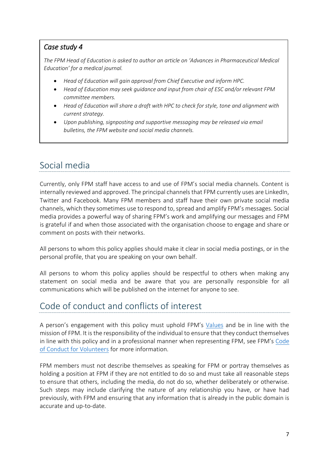#### *Case study 4*

*The FPM Head of Education is asked to author an article on 'Advances in Pharmaceutical Medical Education' for a medical journal.*

- *Head of Education will gain approval from Chief Executive and inform HPC.*
- *Head of Education may seek guidance and input from chair of ESC and/or relevant FPM committee members.*
- *Head of Education will share a draft with HPC to check for style, tone and alignment with current strategy.*
- *Upon publishing, signposting and supportive messaging may be released via email bulletins, the FPM website and social media channels.*

## Social media

Currently, only FPM staff have access to and use of FPM's social media channels. Content is internally reviewed and approved. The principal channels that FPM currently uses are LinkedIn, Twitter and Facebook. Many FPM members and staff have their own private social media channels, which they sometimes use to respond to, spread and amplify FPM's messages. Social media provides a powerful way of sharing FPM's work and amplifying our messages and FPM is grateful if and when those associated with the organisation choose to engage and share or comment on posts with their networks.

All persons to whom this policy applies should make it clear in social media postings, or in the personal profile, that you are speaking on your own behalf.

All persons to whom this policy applies should be respectful to others when making any statement on social media and be aware that you are personally responsible for all communications which will be published on the internet for anyone to see.

## Code of conduct and conflicts of interest

A person's engagement with this policy must uphold FPM's [Values](https://www.fpm.org.uk/blog/fpm-values/) and be in line with the mission of FPM. It is the responsibility of the individual to ensure that they conduct themselves in line with this policy and in a professional manner when representing FPM, see FPM's [Code](https://www.fpm.org.uk/about/governance/)  [of Conduct for Volunteers](https://www.fpm.org.uk/about/governance/) for more information.

FPM members must not describe themselves as speaking for FPM or portray themselves as holding a position at FPM if they are not entitled to do so and must take all reasonable steps to ensure that others, including the media, do not do so, whether deliberately or otherwise. Such steps may include clarifying the nature of any relationship you have, or have had previously, with FPM and ensuring that any information that is already in the public domain is accurate and up-to-date.